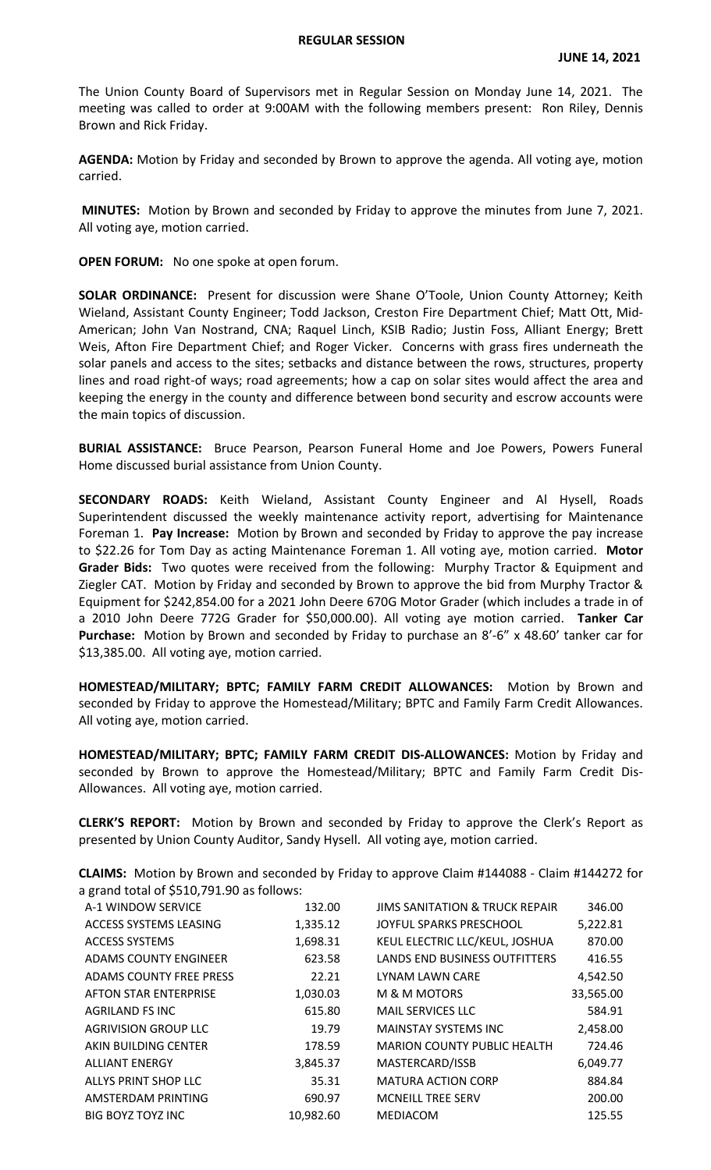The Union County Board of Supervisors met in Regular Session on Monday June 14, 2021. The meeting was called to order at 9:00AM with the following members present: Ron Riley, Dennis Brown and Rick Friday.

**AGENDA:** Motion by Friday and seconded by Brown to approve the agenda. All voting aye, motion carried.

**MINUTES:** Motion by Brown and seconded by Friday to approve the minutes from June 7, 2021. All voting aye, motion carried.

**OPEN FORUM:** No one spoke at open forum.

**SOLAR ORDINANCE:** Present for discussion were Shane O'Toole, Union County Attorney; Keith Wieland, Assistant County Engineer; Todd Jackson, Creston Fire Department Chief; Matt Ott, Mid-American; John Van Nostrand, CNA; Raquel Linch, KSIB Radio; Justin Foss, Alliant Energy; Brett Weis, Afton Fire Department Chief; and Roger Vicker. Concerns with grass fires underneath the solar panels and access to the sites; setbacks and distance between the rows, structures, property lines and road right-of ways; road agreements; how a cap on solar sites would affect the area and keeping the energy in the county and difference between bond security and escrow accounts were the main topics of discussion.

**BURIAL ASSISTANCE:** Bruce Pearson, Pearson Funeral Home and Joe Powers, Powers Funeral Home discussed burial assistance from Union County.

**SECONDARY ROADS:** Keith Wieland, Assistant County Engineer and Al Hysell, Roads Superintendent discussed the weekly maintenance activity report, advertising for Maintenance Foreman 1. **Pay Increase:** Motion by Brown and seconded by Friday to approve the pay increase to \$22.26 for Tom Day as acting Maintenance Foreman 1. All voting aye, motion carried. **Motor Grader Bids:** Two quotes were received from the following: Murphy Tractor & Equipment and Ziegler CAT. Motion by Friday and seconded by Brown to approve the bid from Murphy Tractor & Equipment for \$242,854.00 for a 2021 John Deere 670G Motor Grader (which includes a trade in of a 2010 John Deere 772G Grader for \$50,000.00). All voting aye motion carried. **Tanker Car**  Purchase: Motion by Brown and seconded by Friday to purchase an 8'-6" x 48.60' tanker car for \$13,385.00. All voting aye, motion carried.

**HOMESTEAD/MILITARY; BPTC; FAMILY FARM CREDIT ALLOWANCES:** Motion by Brown and seconded by Friday to approve the Homestead/Military; BPTC and Family Farm Credit Allowances. All voting aye, motion carried.

**HOMESTEAD/MILITARY; BPTC; FAMILY FARM CREDIT DIS-ALLOWANCES:** Motion by Friday and seconded by Brown to approve the Homestead/Military; BPTC and Family Farm Credit Dis-Allowances. All voting aye, motion carried.

**CLERK'S REPORT:** Motion by Brown and seconded by Friday to approve the Clerk's Report as presented by Union County Auditor, Sandy Hysell. All voting aye, motion carried.

**CLAIMS:** Motion by Brown and seconded by Friday to approve Claim #144088 - Claim #144272 for a grand total of \$510,791.90 as follows:

| A-1 WINDOW SERVICE             | 132.00    | <b>JIMS SANITATION &amp; TRUCK REPAIR</b> | 346.00    |
|--------------------------------|-----------|-------------------------------------------|-----------|
| ACCESS SYSTEMS LEASING         | 1,335.12  | JOYFUL SPARKS PRESCHOOL                   | 5,222.81  |
| <b>ACCESS SYSTEMS</b>          | 1,698.31  | KEUL ELECTRIC LLC/KEUL, JOSHUA            | 870.00    |
| <b>ADAMS COUNTY ENGINEER</b>   | 623.58    | <b>LANDS END BUSINESS OUTFITTERS</b>      | 416.55    |
| <b>ADAMS COUNTY FREE PRESS</b> | 22.21     | LYNAM LAWN CARE                           | 4,542.50  |
| <b>AFTON STAR ENTERPRISE</b>   | 1,030.03  | M & M MOTORS                              | 33,565.00 |
| <b>AGRILAND FS INC</b>         | 615.80    | <b>MAIL SERVICES LLC</b>                  | 584.91    |
| <b>AGRIVISION GROUP LLC</b>    | 19.79     | <b>MAINSTAY SYSTEMS INC</b>               | 2,458.00  |
| AKIN BUILDING CENTER           | 178.59    | <b>MARION COUNTY PUBLIC HEALTH</b>        | 724.46    |
| <b>ALLIANT ENERGY</b>          | 3,845.37  | MASTERCARD/ISSB                           | 6,049.77  |
| ALLYS PRINT SHOP LLC           | 35.31     | <b>MATURA ACTION CORP</b>                 | 884.84    |
| AMSTERDAM PRINTING             | 690.97    | <b>MCNEILL TREE SERV</b>                  | 200.00    |
| <b>BIG BOYZ TOYZ INC</b>       | 10,982.60 | <b>MEDIACOM</b>                           | 125.55    |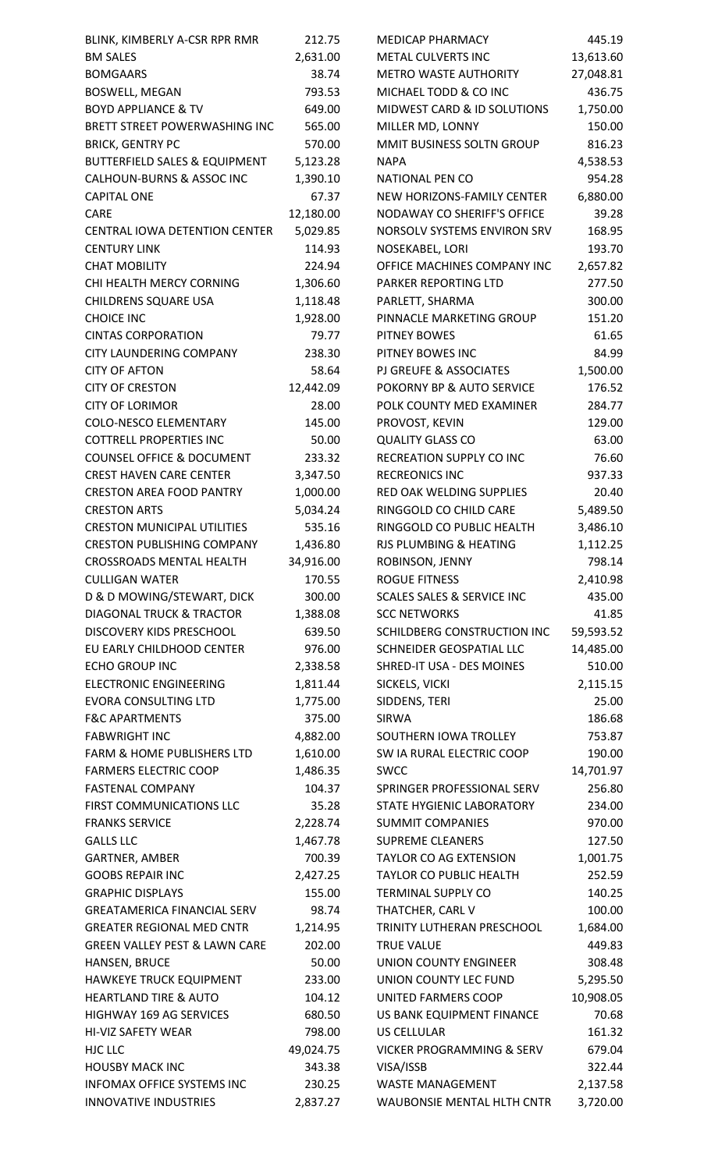| BLINK, KIMBERLY A-CSR RPR RMR                               | 212.75           | <b>MEDICAP PHARMACY</b>               | 445.19                |
|-------------------------------------------------------------|------------------|---------------------------------------|-----------------------|
| <b>BM SALES</b>                                             | 2,631.00         | <b>METAL CULVERTS INC</b>             | 13,613.60             |
| <b>BOMGAARS</b>                                             | 38.74            | <b>METRO WASTE AUTHORITY</b>          | 27,048.81             |
| <b>BOSWELL, MEGAN</b>                                       | 793.53           | MICHAEL TODD & CO INC                 | 436.75                |
| <b>BOYD APPLIANCE &amp; TV</b>                              | 649.00           | MIDWEST CARD & ID SOLUTIONS           | 1,750.00              |
| BRETT STREET POWERWASHING INC                               | 565.00           | MILLER MD, LONNY                      | 150.00                |
| <b>BRICK, GENTRY PC</b>                                     | 570.00           | MMIT BUSINESS SOLTN GROUP             | 816.23                |
| <b>BUTTERFIELD SALES &amp; EQUIPMENT</b>                    | 5,123.28         | <b>NAPA</b>                           | 4,538.53              |
| CALHOUN-BURNS & ASSOC INC                                   | 1,390.10         | <b>NATIONAL PEN CO</b>                | 954.28                |
| <b>CAPITAL ONE</b>                                          | 67.37            | NEW HORIZONS-FAMILY CENTER            | 6,880.00              |
| <b>CARE</b>                                                 | 12,180.00        | NODAWAY CO SHERIFF'S OFFICE           | 39.28                 |
| CENTRAL IOWA DETENTION CENTER                               | 5,029.85         | NORSOLV SYSTEMS ENVIRON SRV           | 168.95                |
| <b>CENTURY LINK</b>                                         | 114.93           | NOSEKABEL, LORI                       | 193.70                |
| <b>CHAT MOBILITY</b>                                        | 224.94           | OFFICE MACHINES COMPANY INC           | 2,657.82              |
| CHI HEALTH MERCY CORNING                                    | 1,306.60         | PARKER REPORTING LTD                  | 277.50                |
| CHILDRENS SQUARE USA                                        | 1,118.48         | PARLETT, SHARMA                       | 300.00                |
| <b>CHOICE INC</b>                                           | 1,928.00         | PINNACLE MARKETING GROUP              | 151.20                |
| <b>CINTAS CORPORATION</b>                                   | 79.77            | <b>PITNEY BOWES</b>                   | 61.65                 |
| CITY LAUNDERING COMPANY                                     | 238.30           | PITNEY BOWES INC                      | 84.99                 |
| <b>CITY OF AFTON</b>                                        | 58.64            | PJ GREUFE & ASSOCIATES                | 1,500.00              |
| <b>CITY OF CRESTON</b>                                      | 12,442.09        | POKORNY BP & AUTO SERVICE             | 176.52                |
| <b>CITY OF LORIMOR</b>                                      | 28.00            | POLK COUNTY MED EXAMINER              | 284.77                |
| <b>COLO-NESCO ELEMENTARY</b>                                | 145.00           | PROVOST, KEVIN                        | 129.00                |
| <b>COTTRELL PROPERTIES INC</b>                              | 50.00            | <b>QUALITY GLASS CO</b>               | 63.00                 |
| <b>COUNSEL OFFICE &amp; DOCUMENT</b>                        | 233.32           | RECREATION SUPPLY CO INC              | 76.60                 |
| <b>CREST HAVEN CARE CENTER</b>                              | 3,347.50         | <b>RECREONICS INC</b>                 | 937.33                |
| <b>CRESTON AREA FOOD PANTRY</b>                             | 1,000.00         | RED OAK WELDING SUPPLIES              | 20.40                 |
| <b>CRESTON ARTS</b>                                         | 5,034.24         | RINGGOLD CO CHILD CARE                | 5,489.50              |
| <b>CRESTON MUNICIPAL UTILITIES</b>                          | 535.16           | RINGGOLD CO PUBLIC HEALTH             | 3,486.10              |
| <b>CRESTON PUBLISHING COMPANY</b>                           | 1,436.80         | RJS PLUMBING & HEATING                | 1,112.25              |
| <b>CROSSROADS MENTAL HEALTH</b>                             | 34,916.00        | ROBINSON, JENNY                       | 798.14                |
| <b>CULLIGAN WATER</b>                                       | 170.55           | <b>ROGUE FITNESS</b>                  | 2,410.98              |
| D & D MOWING/STEWART, DICK                                  | 300.00           | <b>SCALES SALES &amp; SERVICE INC</b> | 435.00                |
| <b>DIAGONAL TRUCK &amp; TRACTOR</b>                         | 1,388.08         | <b>SCC NETWORKS</b>                   | 41.85                 |
| <b>DISCOVERY KIDS PRESCHOOL</b>                             | 639.50           | SCHILDBERG CONSTRUCTION INC           | 59,593.52             |
| EU EARLY CHILDHOOD CENTER                                   | 976.00           | SCHNEIDER GEOSPATIAL LLC              | 14,485.00             |
| <b>ECHO GROUP INC</b>                                       | 2,338.58         | SHRED-IT USA - DES MOINES             | 510.00                |
| <b>ELECTRONIC ENGINEERING</b>                               | 1,811.44         | SICKELS, VICKI                        | 2,115.15              |
| <b>EVORA CONSULTING LTD</b>                                 | 1,775.00         | SIDDENS, TERI                         | 25.00                 |
| <b>F&amp;C APARTMENTS</b>                                   | 375.00           | <b>SIRWA</b>                          | 186.68                |
| <b>FABWRIGHT INC</b>                                        | 4,882.00         | SOUTHERN IOWA TROLLEY                 | 753.87                |
| <b>FARM &amp; HOME PUBLISHERS LTD</b>                       | 1,610.00         | SW IA RURAL ELECTRIC COOP             | 190.00                |
| <b>FARMERS ELECTRIC COOP</b>                                | 1,486.35         | <b>SWCC</b>                           | 14,701.97             |
| <b>FASTENAL COMPANY</b>                                     | 104.37           | SPRINGER PROFESSIONAL SERV            | 256.80                |
| FIRST COMMUNICATIONS LLC                                    | 35.28            | STATE HYGIENIC LABORATORY             | 234.00                |
| <b>FRANKS SERVICE</b>                                       | 2,228.74         | <b>SUMMIT COMPANIES</b>               | 970.00                |
| <b>GALLS LLC</b>                                            | 1,467.78         | <b>SUPREME CLEANERS</b>               | 127.50                |
| <b>GARTNER, AMBER</b>                                       | 700.39           | TAYLOR CO AG EXTENSION                | 1,001.75              |
| <b>GOOBS REPAIR INC</b>                                     | 2,427.25         | TAYLOR CO PUBLIC HEALTH               | 252.59                |
| <b>GRAPHIC DISPLAYS</b>                                     | 155.00           | <b>TERMINAL SUPPLY CO</b>             | 140.25                |
| <b>GREATAMERICA FINANCIAL SERV</b>                          | 98.74            | THATCHER, CARL V                      | 100.00                |
| <b>GREATER REGIONAL MED CNTR</b>                            | 1,214.95         | TRINITY LUTHERAN PRESCHOOL            | 1,684.00              |
| <b>GREEN VALLEY PEST &amp; LAWN CARE</b>                    | 202.00           | <b>TRUE VALUE</b>                     | 449.83                |
| HANSEN, BRUCE                                               | 50.00            | <b>UNION COUNTY ENGINEER</b>          | 308.48                |
| HAWKEYE TRUCK EQUIPMENT                                     | 233.00           | UNION COUNTY LEC FUND                 |                       |
| <b>HEARTLAND TIRE &amp; AUTO</b>                            | 104.12           | UNITED FARMERS COOP                   | 5,295.50<br>10,908.05 |
| HIGHWAY 169 AG SERVICES                                     | 680.50           | US BANK EQUIPMENT FINANCE             | 70.68                 |
| HI-VIZ SAFETY WEAR                                          | 798.00           | <b>US CELLULAR</b>                    |                       |
| HJC LLC                                                     |                  | <b>VICKER PROGRAMMING &amp; SERV</b>  | 161.32<br>679.04      |
|                                                             | 49,024.75        |                                       |                       |
| <b>HOUSBY MACK INC</b><br><b>INFOMAX OFFICE SYSTEMS INC</b> | 343.38<br>230.25 | VISA/ISSB<br><b>WASTE MANAGEMENT</b>  | 322.44                |
| <b>INNOVATIVE INDUSTRIES</b>                                | 2,837.27         | WAUBONSIE MENTAL HLTH CNTR            | 2,137.58<br>3,720.00  |
|                                                             |                  |                                       |                       |